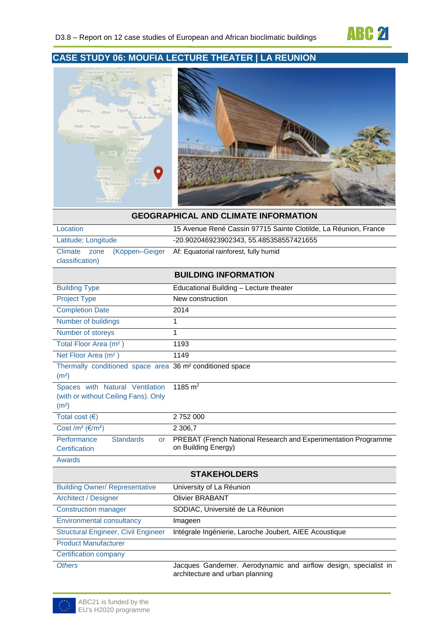



#### **GEOGRAPHICAL AND CLIMATE INFORMATION**

| Location<br>15 Avenue René Cassin 97715 Sainte Clotilde, La Réunion, France                          |                                                                                                    |  |  |
|------------------------------------------------------------------------------------------------------|----------------------------------------------------------------------------------------------------|--|--|
| Latitude; Longitude                                                                                  | -20.902046923902343, 55.485358557421655                                                            |  |  |
| (Köppen-Geiger<br>Climate<br>zone<br>classification)                                                 | Af: Equatorial rainforest, fully humid                                                             |  |  |
|                                                                                                      | <b>BUILDING INFORMATION</b>                                                                        |  |  |
| <b>Building Type</b>                                                                                 | Educational Building - Lecture theater                                                             |  |  |
| <b>Project Type</b>                                                                                  | New construction                                                                                   |  |  |
| <b>Completion Date</b>                                                                               | 2014                                                                                               |  |  |
| Number of buildings                                                                                  | 1                                                                                                  |  |  |
| Number of storeys                                                                                    | 1                                                                                                  |  |  |
| Total Floor Area (m <sup>2</sup> )                                                                   | 1193                                                                                               |  |  |
| Net Floor Area (m <sup>2</sup> )                                                                     | 1149                                                                                               |  |  |
| Thermally conditioned space area 36 m <sup>2</sup> conditioned space<br>(m <sup>2</sup> )            |                                                                                                    |  |  |
| Spaces with Natural Ventilation<br>(with or without Ceiling Fans). Only<br>(m <sup>2</sup> )         | 1185 $m2$                                                                                          |  |  |
| Total cost $(6)$                                                                                     | 2752000                                                                                            |  |  |
| Cost /m <sup>2</sup> ( $\epsilon$ /m <sup>2</sup> )                                                  | 2 3 06,7                                                                                           |  |  |
| Performance<br><b>Standards</b><br><b>or</b><br>Certification                                        | PREBAT (French National Research and Experimentation Programme<br>on Building Energy)              |  |  |
| Awards                                                                                               |                                                                                                    |  |  |
|                                                                                                      | <b>STAKEHOLDERS</b>                                                                                |  |  |
| <b>Building Owner/ Representative</b>                                                                | University of La Réunion                                                                           |  |  |
| <b>Architect / Designer</b>                                                                          | <b>Olivier BRABANT</b>                                                                             |  |  |
| <b>Construction manager</b>                                                                          | SODIAC, Université de La Réunion                                                                   |  |  |
| <b>Environmental consultancy</b>                                                                     | Imageen                                                                                            |  |  |
| <b>Structural Engineer, Civil Engineer</b><br>Intégrale Ingénierie, Laroche Joubert, AIEE Acoustique |                                                                                                    |  |  |
| <b>Product Manufacturer</b>                                                                          |                                                                                                    |  |  |
| <b>Certification company</b>                                                                         |                                                                                                    |  |  |
| <b>Others</b>                                                                                        | Jacques Gandemer. Aerodynamic and airflow design, specialist in<br>architecture and urban planning |  |  |

ABC21 is funded by the EU's H2020 programme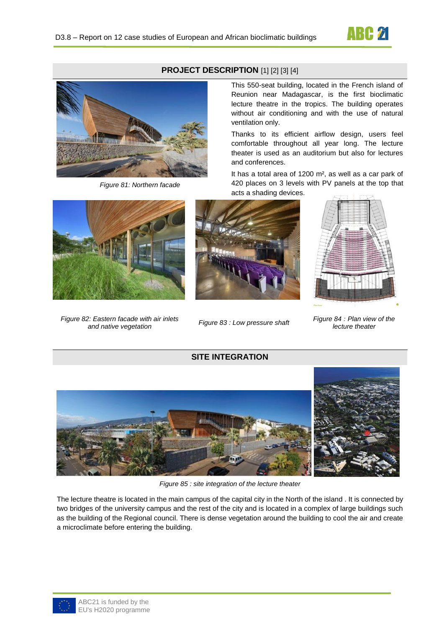

# **PROJECT DESCRIPTION** [1] [2] [3] [4]



*Figure 81: Northern facade* 

*Figure 82: Eastern facade with air inlets and native vegetation Figure 83 : Low pressure shaft Figure 84 : Plan view of the* 



This 550-seat building, located in the French island of Reunion near Madagascar, is the first bioclimatic lecture theatre in the tropics. The building operates without air conditioning and with the use of natural ventilation only.

Thanks to its efficient airflow design, users feel comfortable throughout all year long. The lecture theater is used as an auditorium but also for lectures and conferences.

It has a total area of 1200 m², as well as a car park of 420 places on 3 levels with PV panels at the top that acts a shading devices.



*lecture theater*

### **SITE INTEGRATION**



*Figure 85 : site integration of the lecture theater*

The lecture theatre is located in the main campus of the capital city in the North of the island . It is connected by two bridges of the university campus and the rest of the city and is located in a complex of large buildings such as the building of the Regional council. There is dense vegetation around the building to cool the air and create a microclimate before entering the building.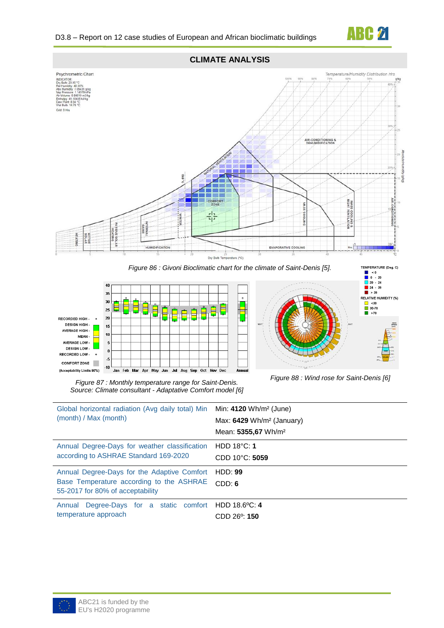







*Figure 87 : Monthly temperature range for Saint-Denis. Source: Climate consultant - Adaptative Comfort model [6]*

*Figure 88 : Wind rose for Saint-Denis [6]*

| Global horizontal radiation (Avg daily total) Min<br>(month) / Max (month)                                                  | Min: $4120 \text{ Wh/m}^2$ (June)<br>Max: 6429 Wh/m <sup>2</sup> (January)<br>Mean: 5355,67 Wh/m <sup>2</sup> |
|-----------------------------------------------------------------------------------------------------------------------------|---------------------------------------------------------------------------------------------------------------|
| Annual Degree-Days for weather classification<br>according to ASHRAE Standard 169-2020                                      | HDD $18^{\circ}$ C: 1<br>$CDD 10^{\circ}C: 5059$                                                              |
| Annual Degree-Days for the Adaptive Comfort<br>Base Temperature according to the ASHRAE<br>55-2017 for 80% of acceptability | HDD: 99<br>CDD: 6                                                                                             |
| Annual Degree-Days for a static comfort HDD 18.6°C: 4<br>temperature approach                                               | $CDD$ 26 <sup>o</sup> : 150                                                                                   |

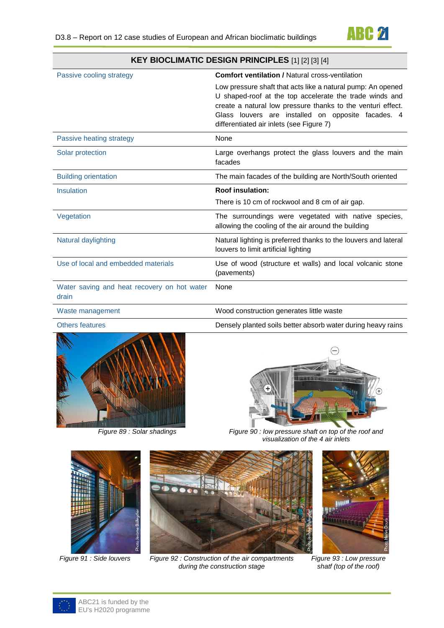

| KEY BIOCLIMATIC DESIGN PRINCIPLES [1] [2] [3] [4]    |                                                                                                                                                                                                                                                                                         |  |
|------------------------------------------------------|-----------------------------------------------------------------------------------------------------------------------------------------------------------------------------------------------------------------------------------------------------------------------------------------|--|
| Passive cooling strategy                             | <b>Comfort ventilation / Natural cross-ventilation</b>                                                                                                                                                                                                                                  |  |
|                                                      | Low pressure shaft that acts like a natural pump: An opened<br>U shaped-roof at the top accelerate the trade winds and<br>create a natural low pressure thanks to the venturi effect.<br>Glass louvers are installed on opposite facades. 4<br>differentiated air inlets (see Figure 7) |  |
| Passive heating strategy                             | <b>None</b>                                                                                                                                                                                                                                                                             |  |
| Solar protection                                     | Large overhangs protect the glass louvers and the main<br>facades                                                                                                                                                                                                                       |  |
| <b>Building orientation</b>                          | The main facades of the building are North/South oriented                                                                                                                                                                                                                               |  |
| Insulation                                           | <b>Roof insulation:</b>                                                                                                                                                                                                                                                                 |  |
|                                                      | There is 10 cm of rockwool and 8 cm of air gap.                                                                                                                                                                                                                                         |  |
| Vegetation                                           | The surroundings were vegetated with native species,<br>allowing the cooling of the air around the building                                                                                                                                                                             |  |
| Natural daylighting                                  | Natural lighting is preferred thanks to the louvers and lateral<br>louvers to limit artificial lighting                                                                                                                                                                                 |  |
| Use of local and embedded materials                  | Use of wood (structure et walls) and local volcanic stone<br>(pavements)                                                                                                                                                                                                                |  |
| Water saving and heat recovery on hot water<br>drain | None                                                                                                                                                                                                                                                                                    |  |
| Waste management                                     | Wood construction generates little waste                                                                                                                                                                                                                                                |  |
| <b>Others features</b>                               | Densely planted soils better absorb water during heavy rains                                                                                                                                                                                                                            |  |





*Figure 89 : Solar shadings Figure 90 : low pressure shaft on top of the roof and visualization of the 4 air inlets*





*Figure 91 : Side louvers Figure 92 : Construction of the air compartments during the construction stage*



*Figure 93 : Low pressure shatf (top of the roof)*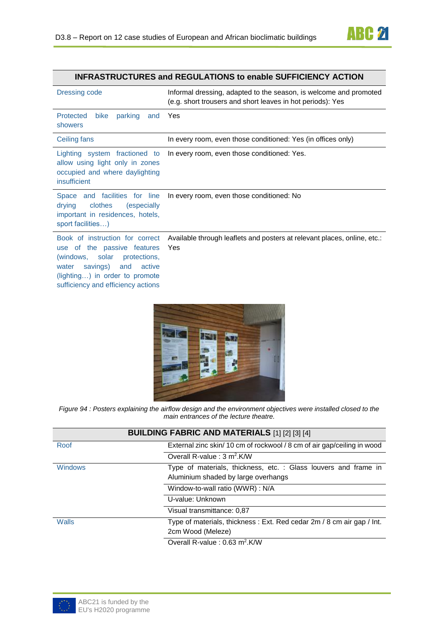

## **INFRASTRUCTURES and REGULATIONS to enable SUFFICIENCY ACTION**

| Dressing code                                                                                                                                                                                               | Informal dressing, adapted to the season, is welcome and promoted<br>(e.g. short trousers and short leaves in hot periods): Yes |  |
|-------------------------------------------------------------------------------------------------------------------------------------------------------------------------------------------------------------|---------------------------------------------------------------------------------------------------------------------------------|--|
| <b>Protected</b><br>bike<br>parking<br>and<br>showers                                                                                                                                                       | Yes                                                                                                                             |  |
| Ceiling fans                                                                                                                                                                                                | In every room, even those conditioned: Yes (in offices only)                                                                    |  |
| Lighting system fractioned to<br>allow using light only in zones<br>occupied and where daylighting<br>insufficient                                                                                          | In every room, even those conditioned: Yes.                                                                                     |  |
| Space and facilities for line<br>drying<br>clothes<br>(especially<br>important in residences, hotels,<br>sport facilities)                                                                                  | In every room, even those conditioned: No                                                                                       |  |
| Book of instruction for correct<br>use of the passive features<br>(windows, solar protections,<br>savings) and<br>water<br>active<br>$(lighting)$ in order to promote<br>sufficiency and efficiency actions | Available through leaflets and posters at relevant places, online, etc.:<br>Yes                                                 |  |



*Figure 94 : Posters explaining the airflow design and the environment objectives were installed closed to the main entrances of the lecture theatre.*

| <b>BUILDING FABRIC AND MATERIALS [1] [2] [3] [4]</b> |                                                                                                        |  |
|------------------------------------------------------|--------------------------------------------------------------------------------------------------------|--|
| Roof                                                 | External zinc skin/10 cm of rockwool / 8 cm of air gap/ceiling in wood                                 |  |
|                                                      | Overall R-value: $3 \text{ m}^2$ .K/W                                                                  |  |
| <b>Windows</b>                                       | Type of materials, thickness, etc. : Glass louvers and frame in<br>Aluminium shaded by large overhangs |  |
|                                                      | Window-to-wall ratio (WWR) : N/A                                                                       |  |
|                                                      | U-value: Unknown                                                                                       |  |
|                                                      | Visual transmittance: 0.87                                                                             |  |
| Walls                                                | Type of materials, thickness: Ext. Red cedar 2m / 8 cm air gap / Int.<br>2cm Wood (Meleze)             |  |
|                                                      | Overall R-value : $0.63$ m <sup>2</sup> .K/W                                                           |  |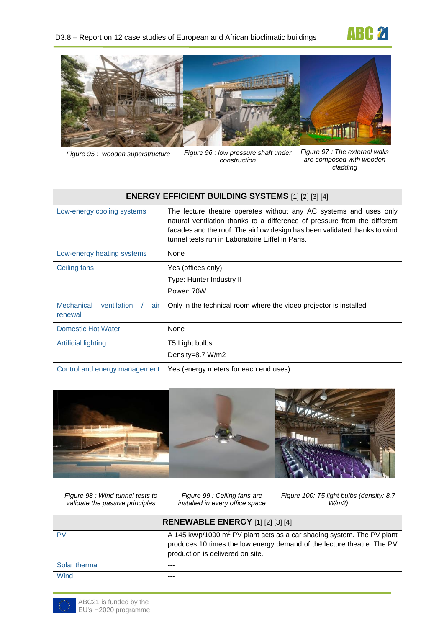



*Figure 95 : wooden superstructure Figure 96 : low pressure shaft under construction*

*Figure 97 : The external walls are composed with wooden cladding*

| <b>ENERGY EFFICIENT BUILDING SYSTEMS [1] [2] [3] [4]</b> |                                                                                                                                                                                                                                                                                  |  |
|----------------------------------------------------------|----------------------------------------------------------------------------------------------------------------------------------------------------------------------------------------------------------------------------------------------------------------------------------|--|
| Low-energy cooling systems                               | The lecture theatre operates without any AC systems and uses only<br>natural ventilation thanks to a difference of pressure from the different<br>facades and the roof. The airflow design has been validated thanks to wind<br>tunnel tests run in Laboratoire Eiffel in Paris. |  |
| Low-energy heating systems                               | None                                                                                                                                                                                                                                                                             |  |
| Ceiling fans                                             | Yes (offices only)<br>Type: Hunter Industry II<br>Power: 70W                                                                                                                                                                                                                     |  |
| Mechanical<br>ventilation<br>air<br>renewal              | Only in the technical room where the video projector is installed                                                                                                                                                                                                                |  |
| Domestic Hot Water                                       | None                                                                                                                                                                                                                                                                             |  |
| <b>Artificial lighting</b>                               | T5 Light bulbs<br>Density=8.7 W/m2                                                                                                                                                                                                                                               |  |

Control and energy management Yes (energy meters for each end uses)



*Figure 98 : Wind tunnel tests to validate the passive principles*

*Figure 99 : Ceiling fans are installed in every office space* *Figure 100: T5 light bulbs (density: 8.7 W/m2)*

| <b>RENEWABLE ENERGY [1] [2] [3] [4]</b> |                                                                                                                                                                                                 |  |
|-----------------------------------------|-------------------------------------------------------------------------------------------------------------------------------------------------------------------------------------------------|--|
| <b>PV</b>                               | A 145 kWp/1000 m <sup>2</sup> PV plant acts as a car shading system. The PV plant<br>produces 10 times the low energy demand of the lecture theatre. The PV<br>production is delivered on site. |  |
| Solar thermal                           | ---                                                                                                                                                                                             |  |
| Wind                                    |                                                                                                                                                                                                 |  |

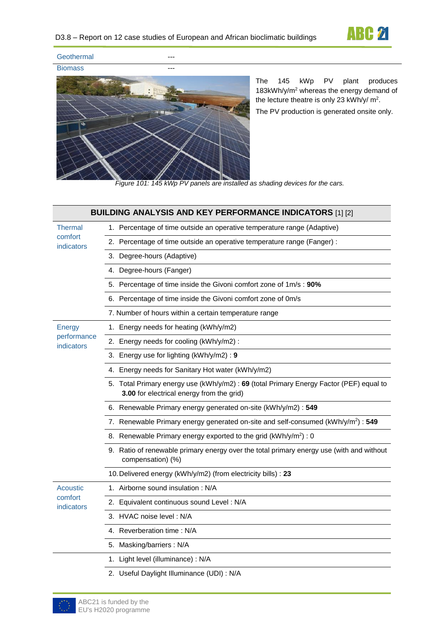

Geothermal Biomass ---



The 145 kWp PV plant produces 183kWh/y/m<sup>2</sup> whereas the energy demand of the lecture theatre is only 23 kWh/y/  $m^2$ .

The PV production is generated onsite only.

*Figure 101: 145 kWp PV panels are installed as shading devices for the cars.*

| <b>BUILDING ANALYSIS AND KEY PERFORMANCE INDICATORS [1] [2]</b> |                                                                                                                                      |  |
|-----------------------------------------------------------------|--------------------------------------------------------------------------------------------------------------------------------------|--|
| Thermal                                                         | 1. Percentage of time outside an operative temperature range (Adaptive)                                                              |  |
| comfort<br>indicators                                           | 2. Percentage of time outside an operative temperature range (Fanger) :                                                              |  |
|                                                                 | 3. Degree-hours (Adaptive)                                                                                                           |  |
|                                                                 | 4. Degree-hours (Fanger)                                                                                                             |  |
|                                                                 | 5. Percentage of time inside the Givoni comfort zone of 1m/s : 90%                                                                   |  |
|                                                                 | 6. Percentage of time inside the Givoni comfort zone of 0m/s                                                                         |  |
|                                                                 | 7. Number of hours within a certain temperature range                                                                                |  |
| Energy                                                          | 1. Energy needs for heating (kWh/y/m2)                                                                                               |  |
| performance<br>indicators                                       | 2. Energy needs for cooling (kWh/y/m2) :                                                                                             |  |
|                                                                 | 3. Energy use for lighting (kWh/y/m2): 9                                                                                             |  |
|                                                                 | 4. Energy needs for Sanitary Hot water (kWh/y/m2)                                                                                    |  |
|                                                                 | 5. Total Primary energy use (kWh/y/m2) : 69 (total Primary Energy Factor (PEF) equal to<br>3.00 for electrical energy from the grid) |  |
|                                                                 | 6. Renewable Primary energy generated on-site (kWh/y/m2) : 549                                                                       |  |
|                                                                 | 7. Renewable Primary energy generated on-site and self-consumed (kWh/y/m <sup>2</sup> ) : 549                                        |  |
|                                                                 | 8. Renewable Primary energy exported to the grid (kWh/y/m <sup>2</sup> ) : 0                                                         |  |
|                                                                 | 9. Ratio of renewable primary energy over the total primary energy use (with and without<br>compensation) (%)                        |  |
|                                                                 | 10. Delivered energy (kWh/y/m2) (from electricity bills) : 23                                                                        |  |
| <b>Acoustic</b>                                                 | 1. Airborne sound insulation : N/A                                                                                                   |  |
| comfort<br>indicators                                           | 2. Equivalent continuous sound Level: N/A                                                                                            |  |
|                                                                 | 3. HVAC noise level: N/A                                                                                                             |  |
|                                                                 | 4. Reverberation time: N/A                                                                                                           |  |
|                                                                 | 5. Masking/barriers: N/A                                                                                                             |  |
|                                                                 | 1. Light level (illuminance) : N/A                                                                                                   |  |
|                                                                 | 2. Useful Daylight Illuminance (UDI) : N/A                                                                                           |  |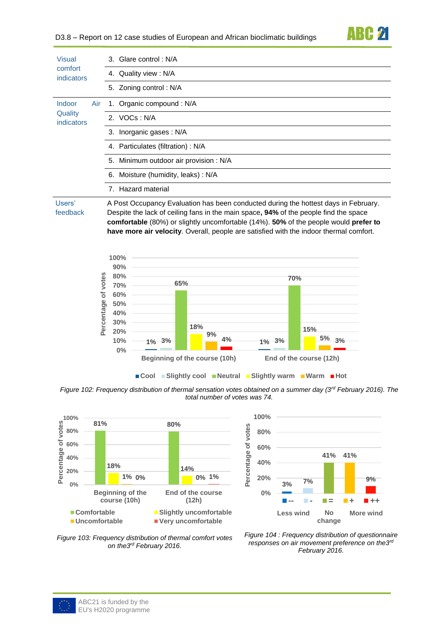

| Visual<br>comfort<br><i>indicators</i>        | 3. Glare control: N/A                                                                                                                                                                                                                                                                                                                                         |  |
|-----------------------------------------------|---------------------------------------------------------------------------------------------------------------------------------------------------------------------------------------------------------------------------------------------------------------------------------------------------------------------------------------------------------------|--|
|                                               | Quality view: N/A<br>4.                                                                                                                                                                                                                                                                                                                                       |  |
|                                               | 5. Zoning control: N/A                                                                                                                                                                                                                                                                                                                                        |  |
| Indoor<br>Air<br>Quality<br><i>indicators</i> | 1. Organic compound: N/A                                                                                                                                                                                                                                                                                                                                      |  |
|                                               | 2. VOCs: N/A                                                                                                                                                                                                                                                                                                                                                  |  |
|                                               | 3. Inorganic gases: N/A                                                                                                                                                                                                                                                                                                                                       |  |
|                                               | 4. Particulates (filtration) : N/A                                                                                                                                                                                                                                                                                                                            |  |
|                                               | 5. Minimum outdoor air provision : N/A                                                                                                                                                                                                                                                                                                                        |  |
|                                               | 6. Moisture (humidity, leaks): N/A                                                                                                                                                                                                                                                                                                                            |  |
|                                               | 7. Hazard material                                                                                                                                                                                                                                                                                                                                            |  |
| Users'<br>feedback                            | A Post Occupancy Evaluation has been conducted during the hottest days in February.<br>Despite the lack of ceiling fans in the main space, 94% of the people find the space<br>comfortable (80%) or slightly uncomfortable (14%). 50% of the people would prefer to<br>have more air velocity. Overall, people are satisfied with the indoor thermal comfort. |  |



*Figure 102: Frequency distribution of thermal sensation votes obtained on a summer day (3rd February 2016). The total number of votes was 74.* 







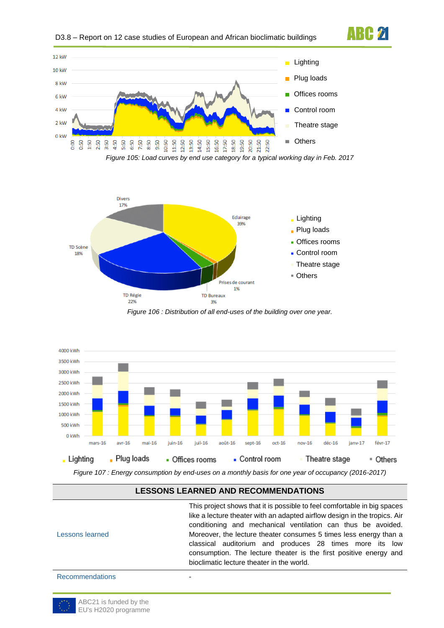



*Figure 105: Load curves by end use category for a typical working day in Feb. 2017*

**ABC 21** 



*Figure 106 : Distribution of all end-uses of the building over one year.*



*Figure 107 : Energy consumption by end-uses on a monthly basis for one year of occupancy (2016-2017)*

### **LESSONS LEARNED AND RECOMMENDATIONS**

| Lessons learned        | This project shows that it is possible to feel comfortable in big spaces<br>like a lecture theater with an adapted airflow design in the tropics. Air<br>conditioning and mechanical ventilation can thus be avoided.<br>Moreover, the lecture theater consumes 5 times less energy than a<br>classical auditorium and produces 28 times more its low<br>consumption. The lecture theater is the first positive energy and<br>bioclimatic lecture theater in the world. |
|------------------------|-------------------------------------------------------------------------------------------------------------------------------------------------------------------------------------------------------------------------------------------------------------------------------------------------------------------------------------------------------------------------------------------------------------------------------------------------------------------------|
| <b>Recommendations</b> |                                                                                                                                                                                                                                                                                                                                                                                                                                                                         |